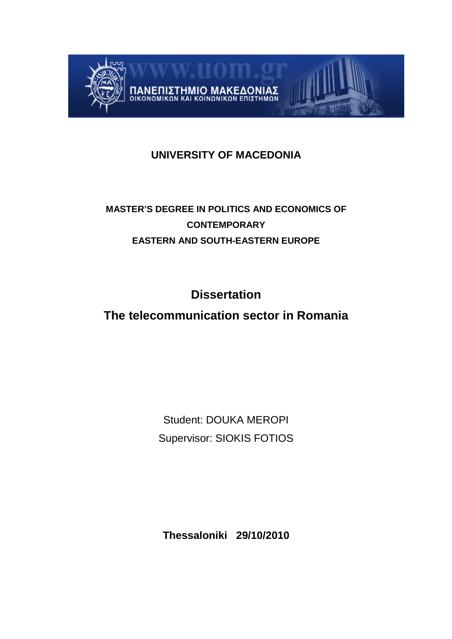

# **UNIVERSITY OF MACEDONIA**

# **MASTER'S DEGREE IN POLITICS AND ECONOMICS OF CONTEMPORARY EASTERN AND SOUTH-EASTERN EUROPE**

**Dissertation** 

# **The telecommunication sector in Romania**

Student: DOUKA MEROPI Supervisor: SIOKIS FOTIOS

**Thessaloniki 29/10/2010**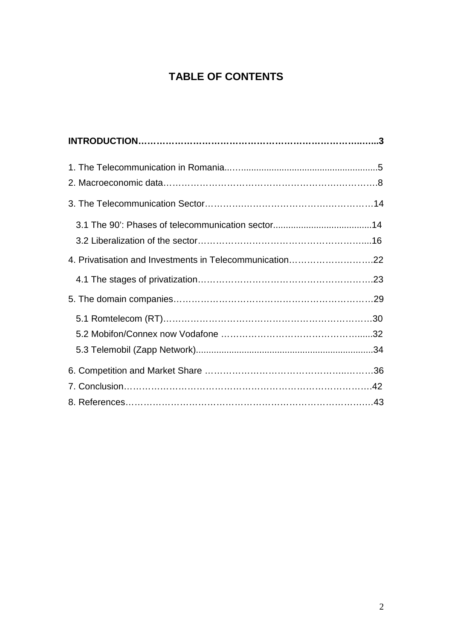# **TABLE OF CONTENTS**

| 4. Privatisation and Investments in Telecommunication22 |  |
|---------------------------------------------------------|--|
|                                                         |  |
|                                                         |  |
|                                                         |  |
|                                                         |  |
|                                                         |  |
|                                                         |  |
|                                                         |  |
|                                                         |  |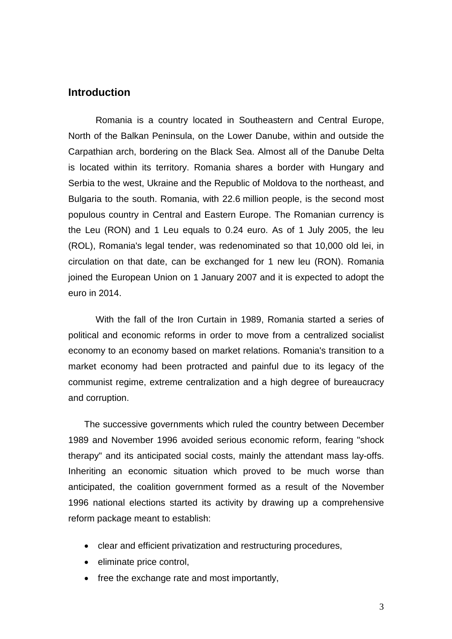## **Introduction**

Romania is a country located in Southeastern and Central Europe, North of the Balkan Peninsula, on the Lower Danube, within and outside the Carpathian arch, bordering on the Black Sea. Almost all of the Danube Delta is located within its territory. Romania shares a border with Hungary and Serbia to the west, Ukraine and the Republic of Moldova to the northeast, and Bulgaria to the south. Romania, with 22.6 million people, is the second most populous country in Central and Eastern Europe. The Romanian currency is the Leu (RON) and 1 Leu equals to 0.24 euro. As of 1 July 2005, the leu (ROL), Romania's legal tender, was redenominated so that 10,000 old lei, in circulation on that date, can be exchanged for 1 new leu (RON). Romania joined the European Union on 1 January 2007 and it is expected to adopt the euro in 2014.

With the fall of the Iron Curtain in 1989, Romania started a series of political and economic reforms in order to move from a centralized socialist economy to an economy based on market relations. Romania's transition to a market economy had been protracted and painful due to its legacy of the communist regime, extreme centralization and a high degree of bureaucracy and corruption.

The successive governments which ruled the country between December 1989 and November 1996 avoided serious economic reform, fearing "shock therapy" and its anticipated social costs, mainly the attendant mass lay-offs. Inheriting an economic situation which proved to be much worse than anticipated, the coalition government formed as a result of the November 1996 national elections started its activity by drawing up a comprehensive reform package meant to establish:

- clear and efficient privatization and restructuring procedures,
- eliminate price control,
- free the exchange rate and most importantly,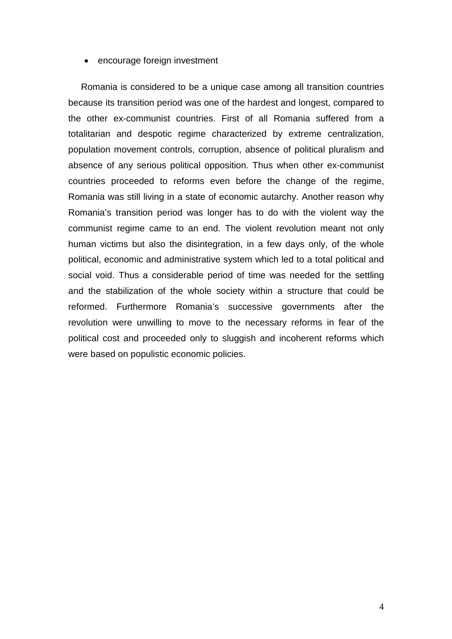#### • encourage foreign investment

 Romania is considered to be a unique case among all transition countries because its transition period was one of the hardest and longest, compared to the other ex-communist countries. First of all Romania suffered from a totalitarian and despotic regime characterized by extreme centralization, population movement controls, corruption, absence of political pluralism and absence of any serious political opposition. Thus when other ex-communist countries proceeded to reforms even before the change of the regime, Romania was still living in a state of economic autarchy. Another reason why Romania's transition period was longer has to do with the violent way the communist regime came to an end. The violent revolution meant not only human victims but also the disintegration, in a few days only, of the whole political, economic and administrative system which led to a total political and social void. Thus a considerable period of time was needed for the settling and the stabilization of the whole society within a structure that could be reformed. Furthermore Romania's successive governments after the revolution were unwilling to move to the necessary reforms in fear of the political cost and proceeded only to sluggish and incoherent reforms which were based on populistic economic policies.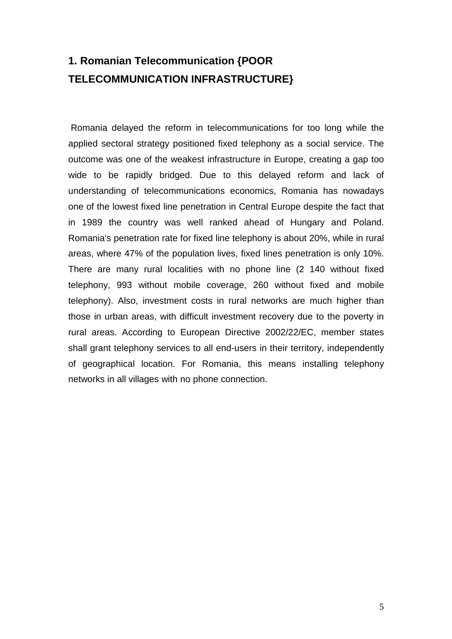# **1. Romanian Telecommunication {POOR TELECOMMUNICATION INFRASTRUCTURE}**

Romania delayed the reform in telecommunications for too long while the applied sectoral strategy positioned fixed telephony as a social service. The outcome was one of the weakest infrastructure in Europe, creating a gap too wide to be rapidly bridged. Due to this delayed reform and lack of understanding of telecommunications economics, Romania has nowadays one of the lowest fixed line penetration in Central Europe despite the fact that in 1989 the country was well ranked ahead of Hungary and Poland. Romania's penetration rate for fixed line telephony is about 20%, while in rural areas, where 47% of the population lives, fixed lines penetration is only 10%. There are many rural localities with no phone line (2 140 without fixed telephony, 993 without mobile coverage, 260 without fixed and mobile telephony). Also, investment costs in rural networks are much higher than those in urban areas, with difficult investment recovery due to the poverty in rural areas. According to European Directive 2002/22/EC, member states shall grant telephony services to all end-users in their territory, independently of geographical location. For Romania, this means installing telephony networks in all villages with no phone connection.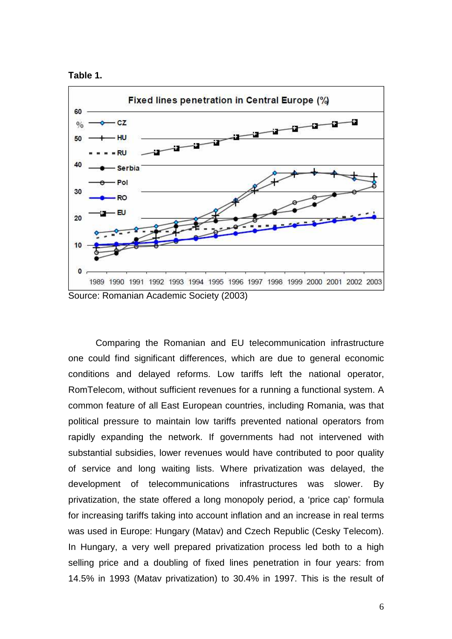



Comparing the Romanian and EU telecommunication infrastructure one could find significant differences, which are due to general economic conditions and delayed reforms. Low tariffs left the national operator, RomTelecom, without sufficient revenues for a running a functional system. A common feature of all East European countries, including Romania, was that political pressure to maintain low tariffs prevented national operators from rapidly expanding the network. If governments had not intervened with substantial subsidies, lower revenues would have contributed to poor quality of service and long waiting lists. Where privatization was delayed, the development of telecommunications infrastructures was slower. By privatization, the state offered a long monopoly period, a 'price cap' formula for increasing tariffs taking into account inflation and an increase in real terms was used in Europe: Hungary (Matav) and Czech Republic (Cesky Telecom). In Hungary, a very well prepared privatization process led both to a high selling price and a doubling of fixed lines penetration in four years: from 14.5% in 1993 (Matav privatization) to 30.4% in 1997. This is the result of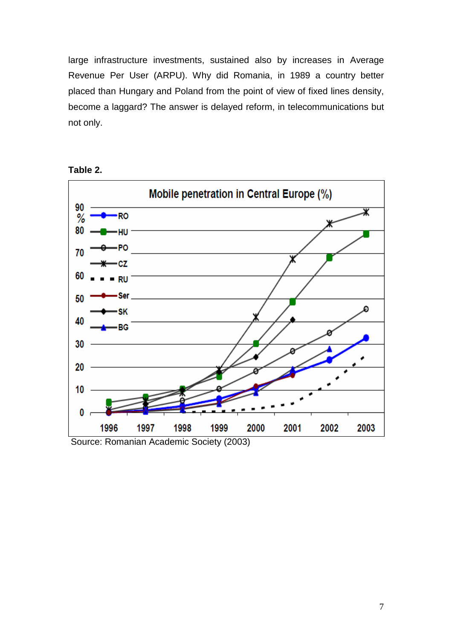large infrastructure investments, sustained also by increases in Average Revenue Per User (ARPU). Why did Romania, in 1989 a country better placed than Hungary and Poland from the point of view of fixed lines density, become a laggard? The answer is delayed reform, in telecommunications but not only.



**Table 2.** 

Source: Romanian Academic Society (2003)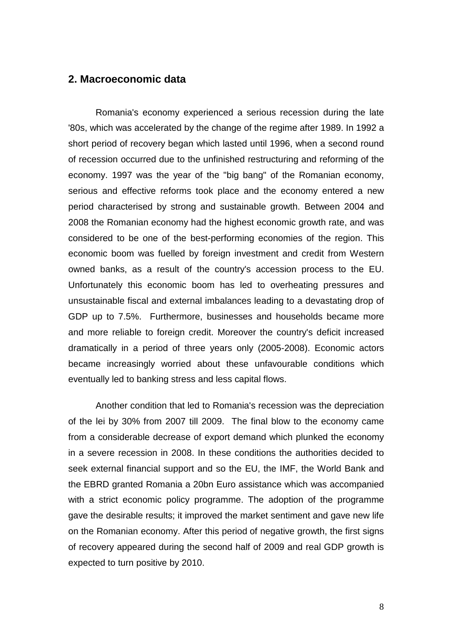## **2. Macroeconomic data**

Romania's economy experienced a serious recession during the late '80s, which was accelerated by the change of the regime after 1989. In 1992 a short period of recovery began which lasted until 1996, when a second round of recession occurred due to the unfinished restructuring and reforming of the economy. 1997 was the year of the "big bang" of the Romanian economy, serious and effective reforms took place and the economy entered a new period characterised by strong and sustainable growth. Between 2004 and 2008 the Romanian economy had the highest economic growth rate, and was considered to be one of the best-performing economies of the region. This economic boom was fuelled by foreign investment and credit from Western owned banks, as a result of the country's accession process to the EU. Unfortunately this economic boom has led to overheating pressures and unsustainable fiscal and external imbalances leading to a devastating drop of GDP up to 7.5%. Furthermore, businesses and households became more and more reliable to foreign credit. Moreover the country's deficit increased dramatically in a period of three years only (2005-2008). Economic actors became increasingly worried about these unfavourable conditions which eventually led to banking stress and less capital flows.

Another condition that led to Romania's recession was the depreciation of the lei by 30% from 2007 till 2009. The final blow to the economy came from a considerable decrease of export demand which plunked the economy in a severe recession in 2008. In these conditions the authorities decided to seek external financial support and so the EU, the IMF, the World Bank and the EBRD granted Romania a 20bn Euro assistance which was accompanied with a strict economic policy programme. The adoption of the programme gave the desirable results; it improved the market sentiment and gave new life on the Romanian economy. After this period of negative growth, the first signs of recovery appeared during the second half of 2009 and real GDP growth is expected to turn positive by 2010.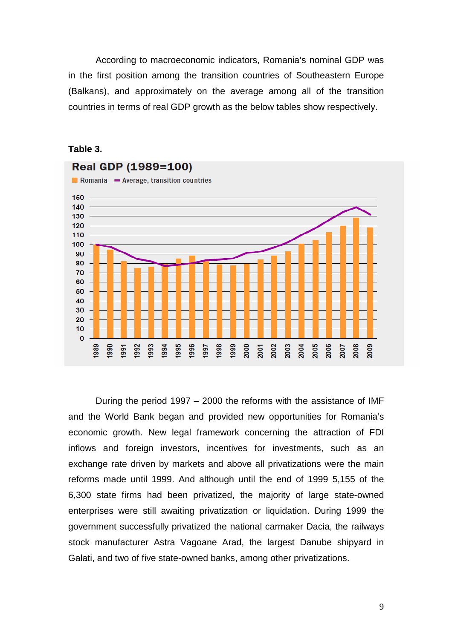According to macroeconomic indicators, Romania's nominal GDP was in the first position among the transition countries of Southeastern Europe (Balkans), and approximately on the average among all of the transition countries in terms of real GDP growth as the below tables show respectively.



### **Table 3.**

During the period 1997 – 2000 the reforms with the assistance of IMF and the World Bank began and provided new opportunities for Romania's economic growth. New legal framework concerning the attraction of FDI inflows and foreign investors, incentives for investments, such as an exchange rate driven by markets and above all privatizations were the main reforms made until 1999. And although until the end of 1999 5,155 of the 6,300 state firms had been privatized, the majority of large state-owned enterprises were still awaiting privatization or liquidation. During 1999 the government successfully privatized the national carmaker Dacia, the railways stock manufacturer Astra Vagoane Arad, the largest Danube shipyard in Galati, and two of five state-owned banks, among other privatizations.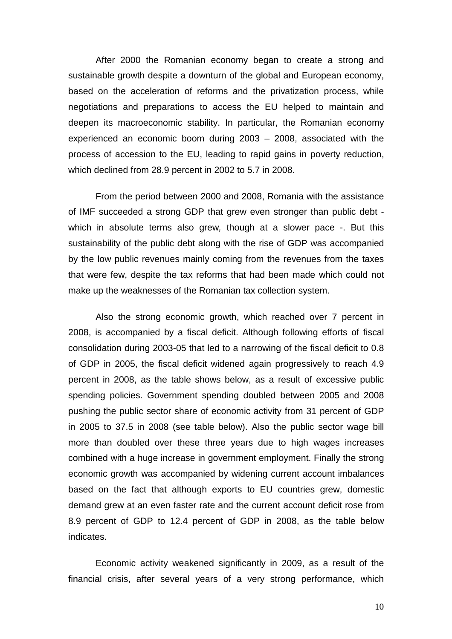After 2000 the Romanian economy began to create a strong and sustainable growth despite a downturn of the global and European economy, based on the acceleration of reforms and the privatization process, while negotiations and preparations to access the EU helped to maintain and deepen its macroeconomic stability. In particular, the Romanian economy experienced an economic boom during 2003 – 2008, associated with the process of accession to the EU, leading to rapid gains in poverty reduction, which declined from 28.9 percent in 2002 to 5.7 in 2008.

From the period between 2000 and 2008, Romania with the assistance of IMF succeeded a strong GDP that grew even stronger than public debt which in absolute terms also grew, though at a slower pace -. But this sustainability of the public debt along with the rise of GDP was accompanied by the low public revenues mainly coming from the revenues from the taxes that were few, despite the tax reforms that had been made which could not make up the weaknesses of the Romanian tax collection system.

Also the strong economic growth, which reached over 7 percent in 2008, is accompanied by a fiscal deficit. Although following efforts of fiscal consolidation during 2003-05 that led to a narrowing of the fiscal deficit to 0.8 of GDP in 2005, the fiscal deficit widened again progressively to reach 4.9 percent in 2008, as the table shows below, as a result of excessive public spending policies. Government spending doubled between 2005 and 2008 pushing the public sector share of economic activity from 31 percent of GDP in 2005 to 37.5 in 2008 (see table below). Also the public sector wage bill more than doubled over these three years due to high wages increases combined with a huge increase in government employment. Finally the strong economic growth was accompanied by widening current account imbalances based on the fact that although exports to EU countries grew, domestic demand grew at an even faster rate and the current account deficit rose from 8.9 percent of GDP to 12.4 percent of GDP in 2008, as the table below indicates.

Economic activity weakened significantly in 2009, as a result of the financial crisis, after several years of a very strong performance, which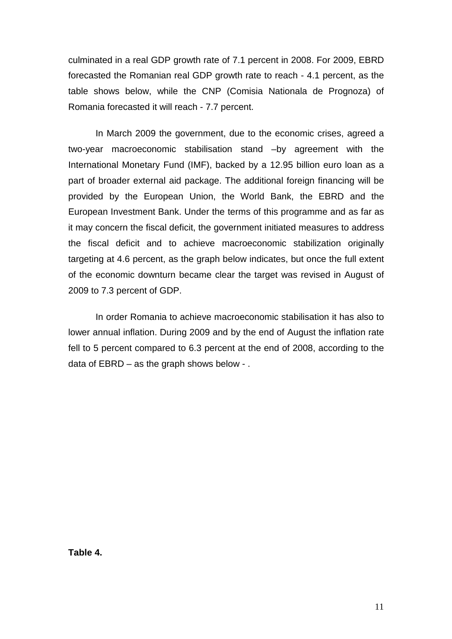culminated in a real GDP growth rate of 7.1 percent in 2008. For 2009, EBRD forecasted the Romanian real GDP growth rate to reach - 4.1 percent, as the table shows below, while the CNP (Comisia Nationala de Prognoza) of Romania forecasted it will reach - 7.7 percent.

In March 2009 the government, due to the economic crises, agreed a two-year macroeconomic stabilisation stand –by agreement with the International Monetary Fund (IMF), backed by a 12.95 billion euro loan as a part of broader external aid package. The additional foreign financing will be provided by the European Union, the World Bank, the EBRD and the European Investment Bank. Under the terms of this programme and as far as it may concern the fiscal deficit, the government initiated measures to address the fiscal deficit and to achieve macroeconomic stabilization originally targeting at 4.6 percent, as the graph below indicates, but once the full extent of the economic downturn became clear the target was revised in August of 2009 to 7.3 percent of GDP.

In order Romania to achieve macroeconomic stabilisation it has also to lower annual inflation. During 2009 and by the end of August the inflation rate fell to 5 percent compared to 6.3 percent at the end of 2008, according to the data of EBRD – as the graph shows below - .

**Table 4.**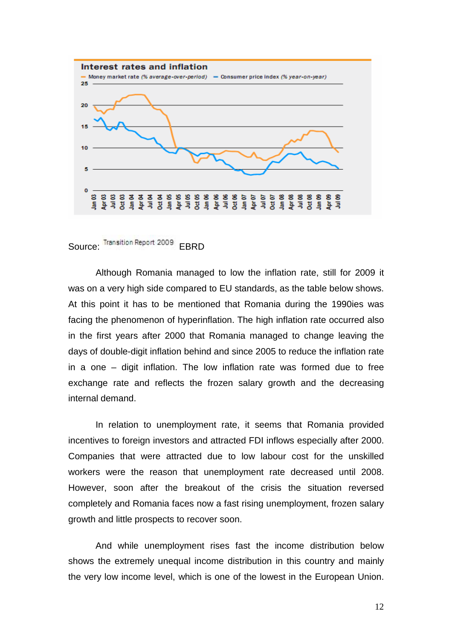

Source: Transition Report 2009 EBRD

Although Romania managed to low the inflation rate, still for 2009 it was on a very high side compared to EU standards, as the table below shows. At this point it has to be mentioned that Romania during the 1990ies was facing the phenomenon of hyperinflation. The high inflation rate occurred also in the first years after 2000 that Romania managed to change leaving the days of double-digit inflation behind and since 2005 to reduce the inflation rate in a one – digit inflation. The low inflation rate was formed due to free exchange rate and reflects the frozen salary growth and the decreasing internal demand.

In relation to unemployment rate, it seems that Romania provided incentives to foreign investors and attracted FDI inflows especially after 2000. Companies that were attracted due to low labour cost for the unskilled workers were the reason that unemployment rate decreased until 2008. However, soon after the breakout of the crisis the situation reversed completely and Romania faces now a fast rising unemployment, frozen salary growth and little prospects to recover soon.

And while unemployment rises fast the income distribution below shows the extremely unequal income distribution in this country and mainly the very low income level, which is one of the lowest in the European Union.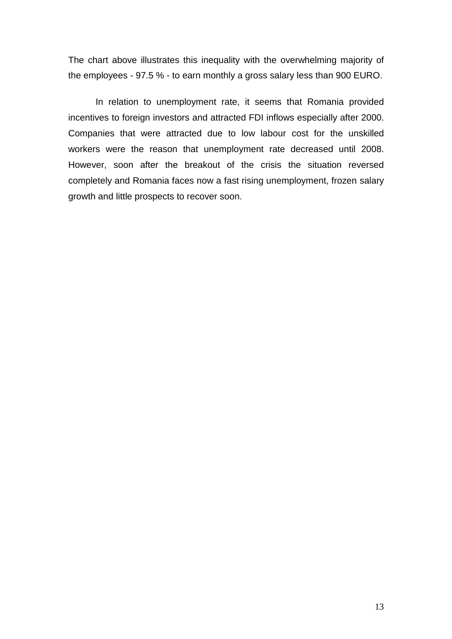The chart above illustrates this inequality with the overwhelming majority of the employees - 97.5 % - to earn monthly a gross salary less than 900 EURO.

In relation to unemployment rate, it seems that Romania provided incentives to foreign investors and attracted FDI inflows especially after 2000. Companies that were attracted due to low labour cost for the unskilled workers were the reason that unemployment rate decreased until 2008. However, soon after the breakout of the crisis the situation reversed completely and Romania faces now a fast rising unemployment, frozen salary growth and little prospects to recover soon.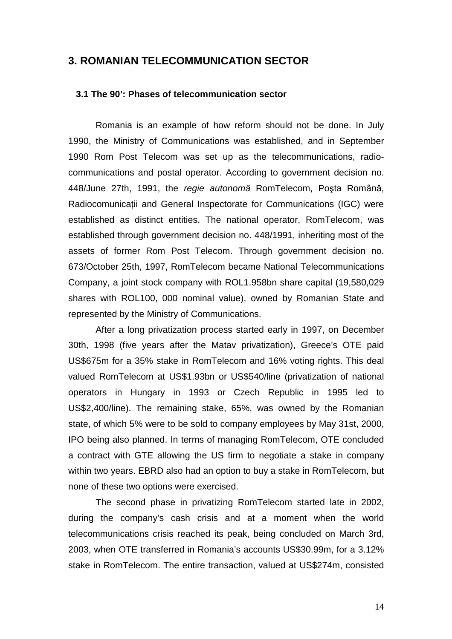## **3. ROMANIAN TELECOMMUNICATION SECTOR**

## **3.1 The 90': Phases of telecommunication sector**

 Romania is an example of how reform should not be done. In July 1990, the Ministry of Communications was established, and in September 1990 Rom Post Telecom was set up as the telecommunications, radiocommunications and postal operator. According to government decision no. 448/June 27th, 1991, the regie autonom*ă* RomTelecom, Poşta Română, Radiocomunicatii and General Inspectorate for Communications (IGC) were established as distinct entities. The national operator, RomTelecom, was established through government decision no. 448/1991, inheriting most of the assets of former Rom Post Telecom. Through government decision no. 673/October 25th, 1997, RomTelecom became National Telecommunications Company, a joint stock company with ROL1.958bn share capital (19,580,029 shares with ROL100, 000 nominal value), owned by Romanian State and represented by the Ministry of Communications.

 After a long privatization process started early in 1997, on December 30th, 1998 (five years after the Matav privatization), Greece's OTE paid US\$675m for a 35% stake in RomTelecom and 16% voting rights. This deal valued RomTelecom at US\$1.93bn or US\$540/line (privatization of national operators in Hungary in 1993 or Czech Republic in 1995 led to US\$2,400/line). The remaining stake, 65%, was owned by the Romanian state, of which 5% were to be sold to company employees by May 31st, 2000, IPO being also planned. In terms of managing RomTelecom, OTE concluded a contract with GTE allowing the US firm to negotiate a stake in company within two years. EBRD also had an option to buy a stake in RomTelecom, but none of these two options were exercised.

The second phase in privatizing RomTelecom started late in 2002, during the company's cash crisis and at a moment when the world telecommunications crisis reached its peak, being concluded on March 3rd, 2003, when OTE transferred in Romania's accounts US\$30.99m, for a 3.12% stake in RomTelecom. The entire transaction, valued at US\$274m, consisted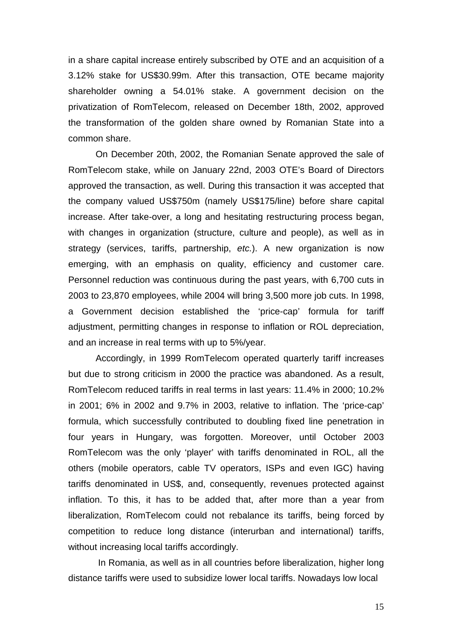in a share capital increase entirely subscribed by OTE and an acquisition of a 3.12% stake for US\$30.99m. After this transaction, OTE became majority shareholder owning a 54.01% stake. A government decision on the privatization of RomTelecom, released on December 18th, 2002, approved the transformation of the golden share owned by Romanian State into a common share.

 On December 20th, 2002, the Romanian Senate approved the sale of RomTelecom stake, while on January 22nd, 2003 OTE's Board of Directors approved the transaction, as well. During this transaction it was accepted that the company valued US\$750m (namely US\$175/line) before share capital increase. After take-over, a long and hesitating restructuring process began, with changes in organization (structure, culture and people), as well as in strategy (services, tariffs, partnership, etc.). A new organization is now emerging, with an emphasis on quality, efficiency and customer care. Personnel reduction was continuous during the past years, with 6,700 cuts in 2003 to 23,870 employees, while 2004 will bring 3,500 more job cuts. In 1998, a Government decision established the 'price-cap' formula for tariff adjustment, permitting changes in response to inflation or ROL depreciation, and an increase in real terms with up to 5%/year.

Accordingly, in 1999 RomTelecom operated quarterly tariff increases but due to strong criticism in 2000 the practice was abandoned. As a result, RomTelecom reduced tariffs in real terms in last years: 11.4% in 2000; 10.2% in 2001; 6% in 2002 and 9.7% in 2003, relative to inflation. The 'price-cap' formula, which successfully contributed to doubling fixed line penetration in four years in Hungary, was forgotten. Moreover, until October 2003 RomTelecom was the only 'player' with tariffs denominated in ROL, all the others (mobile operators, cable TV operators, ISPs and even IGC) having tariffs denominated in US\$, and, consequently, revenues protected against inflation. To this, it has to be added that, after more than a year from liberalization, RomTelecom could not rebalance its tariffs, being forced by competition to reduce long distance (interurban and international) tariffs, without increasing local tariffs accordingly.

 In Romania, as well as in all countries before liberalization, higher long distance tariffs were used to subsidize lower local tariffs. Nowadays low local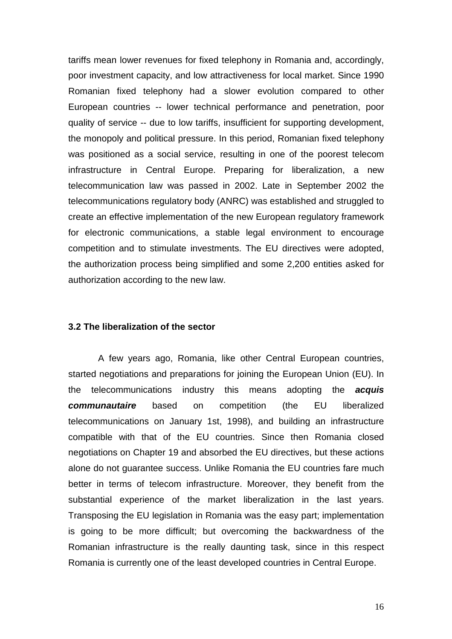tariffs mean lower revenues for fixed telephony in Romania and, accordingly, poor investment capacity, and low attractiveness for local market. Since 1990 Romanian fixed telephony had a slower evolution compared to other European countries -- lower technical performance and penetration, poor quality of service -- due to low tariffs, insufficient for supporting development, the monopoly and political pressure. In this period, Romanian fixed telephony was positioned as a social service, resulting in one of the poorest telecom infrastructure in Central Europe. Preparing for liberalization, a new telecommunication law was passed in 2002. Late in September 2002 the telecommunications regulatory body (ANRC) was established and struggled to create an effective implementation of the new European regulatory framework for electronic communications, a stable legal environment to encourage competition and to stimulate investments. The EU directives were adopted, the authorization process being simplified and some 2,200 entities asked for authorization according to the new law.

#### **3.2 The liberalization of the sector**

 A few years ago, Romania, like other Central European countries, started negotiations and preparations for joining the European Union (EU). In the telecommunications industry this means adopting the **acquis communautaire** based on competition (the EU liberalized telecommunications on January 1st, 1998), and building an infrastructure compatible with that of the EU countries. Since then Romania closed negotiations on Chapter 19 and absorbed the EU directives, but these actions alone do not guarantee success. Unlike Romania the EU countries fare much better in terms of telecom infrastructure. Moreover, they benefit from the substantial experience of the market liberalization in the last years. Transposing the EU legislation in Romania was the easy part; implementation is going to be more difficult; but overcoming the backwardness of the Romanian infrastructure is the really daunting task, since in this respect Romania is currently one of the least developed countries in Central Europe.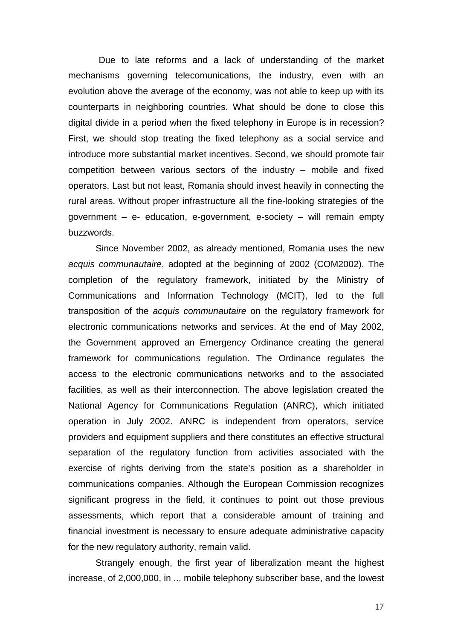Due to late reforms and a lack of understanding of the market mechanisms governing telecomunications, the industry, even with an evolution above the average of the economy, was not able to keep up with its counterparts in neighboring countries. What should be done to close this digital divide in a period when the fixed telephony in Europe is in recession? First, we should stop treating the fixed telephony as a social service and introduce more substantial market incentives. Second, we should promote fair competition between various sectors of the industry – mobile and fixed operators. Last but not least, Romania should invest heavily in connecting the rural areas. Without proper infrastructure all the fine-looking strategies of the government – e- education, e-government, e-society – will remain empty buzzwords.

 Since November 2002, as already mentioned, Romania uses the new acquis communautaire, adopted at the beginning of 2002 (COM2002). The completion of the regulatory framework, initiated by the Ministry of Communications and Information Technology (MCIT), led to the full transposition of the acquis communautaire on the regulatory framework for electronic communications networks and services. At the end of May 2002, the Government approved an Emergency Ordinance creating the general framework for communications regulation. The Ordinance regulates the access to the electronic communications networks and to the associated facilities, as well as their interconnection. The above legislation created the National Agency for Communications Regulation (ANRC), which initiated operation in July 2002. ANRC is independent from operators, service providers and equipment suppliers and there constitutes an effective structural separation of the regulatory function from activities associated with the exercise of rights deriving from the state's position as a shareholder in communications companies. Although the European Commission recognizes significant progress in the field, it continues to point out those previous assessments, which report that a considerable amount of training and financial investment is necessary to ensure adequate administrative capacity for the new regulatory authority, remain valid.

Strangely enough, the first year of liberalization meant the highest increase, of 2,000,000, in ... mobile telephony subscriber base, and the lowest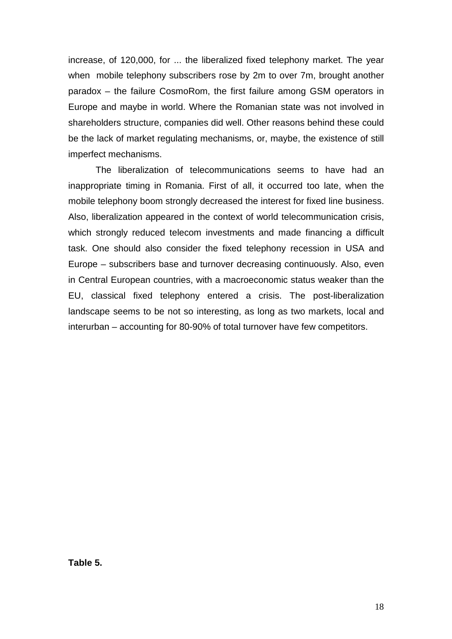increase, of 120,000, for ... the liberalized fixed telephony market. The year when mobile telephony subscribers rose by 2m to over 7m, brought another paradox – the failure CosmoRom, the first failure among GSM operators in Europe and maybe in world. Where the Romanian state was not involved in shareholders structure, companies did well. Other reasons behind these could be the lack of market regulating mechanisms, or, maybe, the existence of still imperfect mechanisms.

 The liberalization of telecommunications seems to have had an inappropriate timing in Romania. First of all, it occurred too late, when the mobile telephony boom strongly decreased the interest for fixed line business. Also, liberalization appeared in the context of world telecommunication crisis, which strongly reduced telecom investments and made financing a difficult task. One should also consider the fixed telephony recession in USA and Europe – subscribers base and turnover decreasing continuously. Also, even in Central European countries, with a macroeconomic status weaker than the EU, classical fixed telephony entered a crisis. The post-liberalization landscape seems to be not so interesting, as long as two markets, local and interurban – accounting for 80-90% of total turnover have few competitors.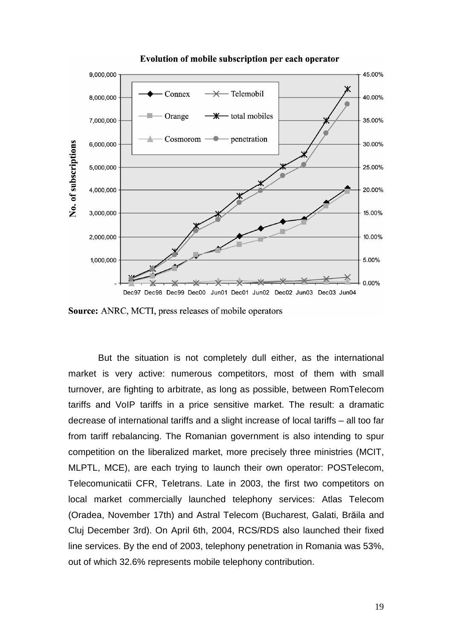

Evolution of mobile subscription per each operator

Source: ANRC, MCTI, press releases of mobile operators

 But the situation is not completely dull either, as the international market is very active: numerous competitors, most of them with small turnover, are fighting to arbitrate, as long as possible, between RomTelecom tariffs and VoIP tariffs in a price sensitive market. The result: a dramatic decrease of international tariffs and a slight increase of local tariffs – all too far from tariff rebalancing. The Romanian government is also intending to spur competition on the liberalized market, more precisely three ministries (MCIT, MLPTL, MCE), are each trying to launch their own operator: POSTelecom, Telecomunicatii CFR, Teletrans. Late in 2003, the first two competitors on local market commercially launched telephony services: Atlas Telecom (Oradea, November 17th) and Astral Telecom (Bucharest, Galati, Brăila and Cluj December 3rd). On April 6th, 2004, RCS/RDS also launched their fixed line services. By the end of 2003, telephony penetration in Romania was 53%, out of which 32.6% represents mobile telephony contribution.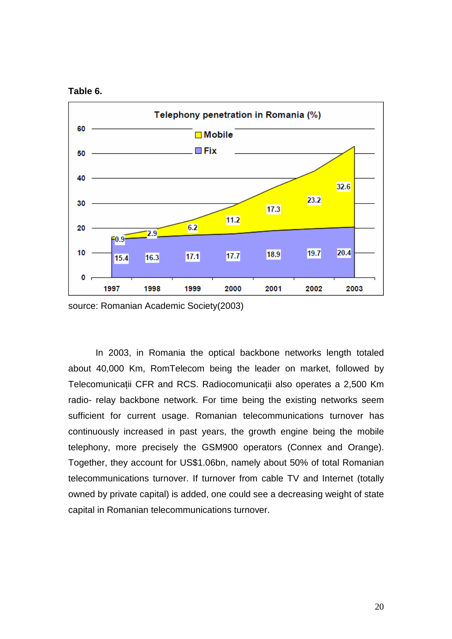



source: Romanian Academic Society(2003)

 In 2003, in Romania the optical backbone networks length totaled about 40,000 Km, RomTelecom being the leader on market, followed by Telecomunicaţii CFR and RCS. Radiocomunicaţii also operates a 2,500 Km radio- relay backbone network. For time being the existing networks seem sufficient for current usage. Romanian telecommunications turnover has continuously increased in past years, the growth engine being the mobile telephony, more precisely the GSM900 operators (Connex and Orange). Together, they account for US\$1.06bn, namely about 50% of total Romanian telecommunications turnover. If turnover from cable TV and Internet (totally owned by private capital) is added, one could see a decreasing weight of state capital in Romanian telecommunications turnover.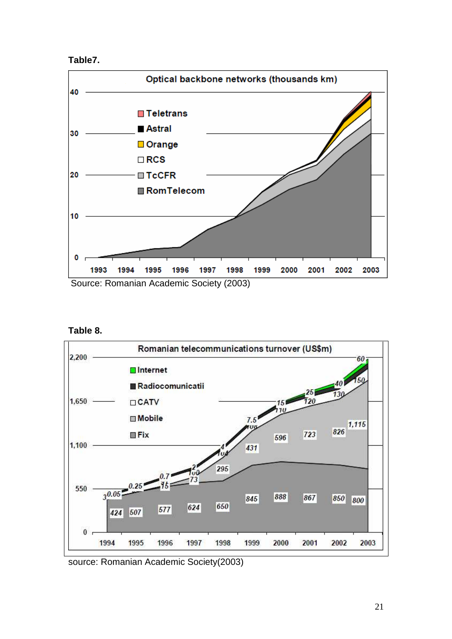



**Table 8.** 



source: Romanian Academic Society(2003)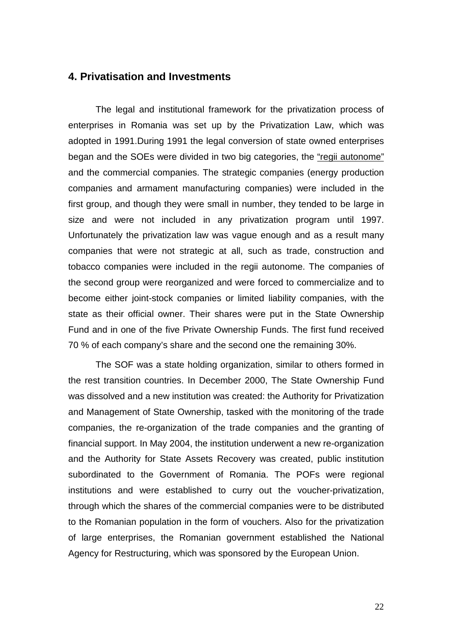# **4. Privatisation and Investments**

The legal and institutional framework for the privatization process of enterprises in Romania was set up by the Privatization Law, which was adopted in 1991.During 1991 the legal conversion of state owned enterprises began and the SOEs were divided in two big categories, the "regii autonome" and the commercial companies. The strategic companies (energy production companies and armament manufacturing companies) were included in the first group, and though they were small in number, they tended to be large in size and were not included in any privatization program until 1997. Unfortunately the privatization law was vague enough and as a result many companies that were not strategic at all, such as trade, construction and tobacco companies were included in the regii autonome. The companies of the second group were reorganized and were forced to commercialize and to become either joint-stock companies or limited liability companies, with the state as their official owner. Their shares were put in the State Ownership Fund and in one of the five Private Ownership Funds. The first fund received 70 % of each company's share and the second one the remaining 30%.

The SOF was a state holding organization, similar to others formed in the rest transition countries. In December 2000, The State Ownership Fund was dissolved and a new institution was created: the Authority for Privatization and Management of State Ownership, tasked with the monitoring of the trade companies, the re-organization of the trade companies and the granting of financial support. In May 2004, the institution underwent a new re-organization and the Authority for State Assets Recovery was created, public institution subordinated to the Government of Romania. The POFs were regional institutions and were established to curry out the voucher-privatization, through which the shares of the commercial companies were to be distributed to the Romanian population in the form of vouchers. Also for the privatization of large enterprises, the Romanian government established the National Agency for Restructuring, which was sponsored by the European Union.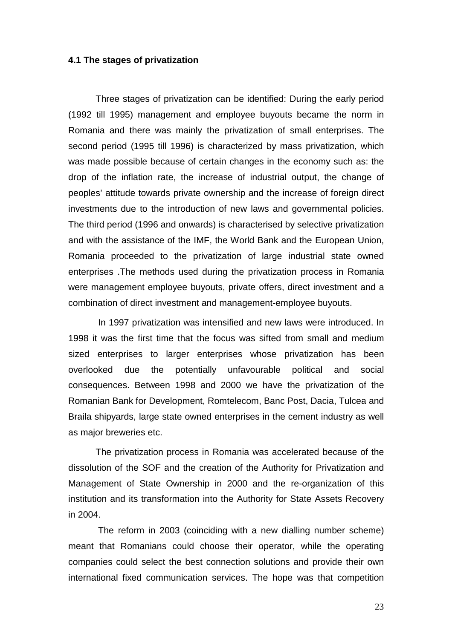#### **4.1 The stages of privatization**

Three stages of privatization can be identified: During the early period (1992 till 1995) management and employee buyouts became the norm in Romania and there was mainly the privatization of small enterprises. The second period (1995 till 1996) is characterized by mass privatization, which was made possible because of certain changes in the economy such as: the drop of the inflation rate, the increase of industrial output, the change of peoples' attitude towards private ownership and the increase of foreign direct investments due to the introduction of new laws and governmental policies. The third period (1996 and onwards) is characterised by selective privatization and with the assistance of the IMF, the World Bank and the European Union, Romania proceeded to the privatization of large industrial state owned enterprises .The methods used during the privatization process in Romania were management employee buyouts, private offers, direct investment and a combination of direct investment and management-employee buyouts.

 In 1997 privatization was intensified and new laws were introduced. In 1998 it was the first time that the focus was sifted from small and medium sized enterprises to larger enterprises whose privatization has been overlooked due the potentially unfavourable political and social consequences. Between 1998 and 2000 we have the privatization of the Romanian Bank for Development, Romtelecom, Banc Post, Dacia, Tulcea and Braila shipyards, large state owned enterprises in the cement industry as well as major breweries etc.

 The privatization process in Romania was accelerated because of the dissolution of the SOF and the creation of the Authority for Privatization and Management of State Ownership in 2000 and the re-organization of this institution and its transformation into the Authority for State Assets Recovery in 2004.

 The reform in 2003 (coinciding with a new dialling number scheme) meant that Romanians could choose their operator, while the operating companies could select the best connection solutions and provide their own international fixed communication services. The hope was that competition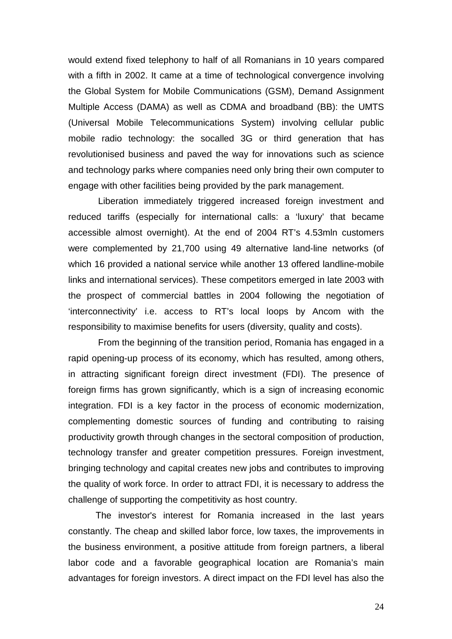would extend fixed telephony to half of all Romanians in 10 years compared with a fifth in 2002. It came at a time of technological convergence involving the Global System for Mobile Communications (GSM), Demand Assignment Multiple Access (DAMA) as well as CDMA and broadband (BB): the UMTS (Universal Mobile Telecommunications System) involving cellular public mobile radio technology: the socalled 3G or third generation that has revolutionised business and paved the way for innovations such as science and technology parks where companies need only bring their own computer to engage with other facilities being provided by the park management.

 Liberation immediately triggered increased foreign investment and reduced tariffs (especially for international calls: a 'luxury' that became accessible almost overnight). At the end of 2004 RT's 4.53mln customers were complemented by 21,700 using 49 alternative land-line networks (of which 16 provided a national service while another 13 offered landline-mobile links and international services). These competitors emerged in late 2003 with the prospect of commercial battles in 2004 following the negotiation of 'interconnectivity' i.e. access to RT's local loops by Ancom with the responsibility to maximise benefits for users (diversity, quality and costs).

 From the beginning of the transition period, Romania has engaged in a rapid opening-up process of its economy, which has resulted, among others, in attracting significant foreign direct investment (FDI). The presence of foreign firms has grown significantly, which is a sign of increasing economic integration. FDI is a key factor in the process of economic modernization, complementing domestic sources of funding and contributing to raising productivity growth through changes in the sectoral composition of production, technology transfer and greater competition pressures. Foreign investment, bringing technology and capital creates new jobs and contributes to improving the quality of work force. In order to attract FDI, it is necessary to address the challenge of supporting the competitivity as host country.

The investor's interest for Romania increased in the last years constantly. The cheap and skilled labor force, low taxes, the improvements in the business environment, a positive attitude from foreign partners, a liberal labor code and a favorable geographical location are Romania's main advantages for foreign investors. A direct impact on the FDI level has also the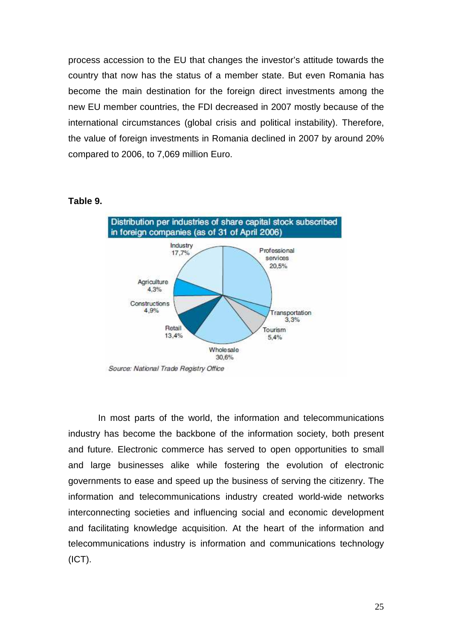process accession to the EU that changes the investor's attitude towards the country that now has the status of a member state. But even Romania has become the main destination for the foreign direct investments among the new EU member countries, the FDI decreased in 2007 mostly because of the international circumstances (global crisis and political instability). Therefore, the value of foreign investments in Romania declined in 2007 by around 20% compared to 2006, to 7,069 million Euro.

### **Table 9.**



 In most parts of the world, the information and telecommunications industry has become the backbone of the information society, both present and future. Electronic commerce has served to open opportunities to small and large businesses alike while fostering the evolution of electronic governments to ease and speed up the business of serving the citizenry. The information and telecommunications industry created world-wide networks interconnecting societies and influencing social and economic development and facilitating knowledge acquisition. At the heart of the information and telecommunications industry is information and communications technology (ICT).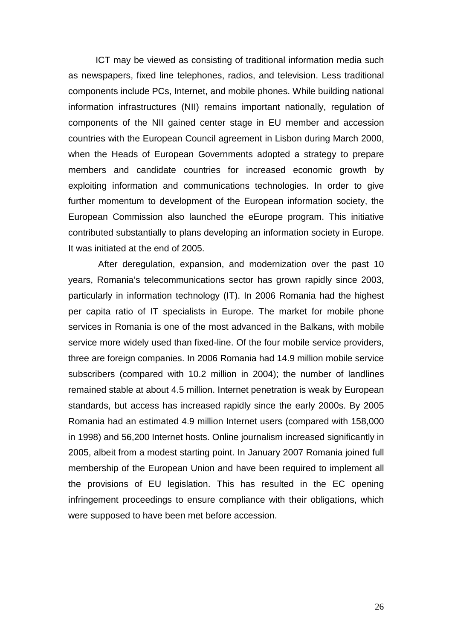ICT may be viewed as consisting of traditional information media such as newspapers, fixed line telephones, radios, and television. Less traditional components include PCs, Internet, and mobile phones. While building national information infrastructures (NII) remains important nationally, regulation of components of the NII gained center stage in EU member and accession countries with the European Council agreement in Lisbon during March 2000, when the Heads of European Governments adopted a strategy to prepare members and candidate countries for increased economic growth by exploiting information and communications technologies. In order to give further momentum to development of the European information society, the European Commission also launched the eEurope program. This initiative contributed substantially to plans developing an information society in Europe. It was initiated at the end of 2005.

 After deregulation, expansion, and modernization over the past 10 years, Romania's telecommunications sector has grown rapidly since 2003, particularly in information technology (IT). In 2006 Romania had the highest per capita ratio of IT specialists in Europe. The market for mobile phone services in Romania is one of the most advanced in the Balkans, with mobile service more widely used than fixed-line. Of the four mobile service providers, three are foreign companies. In 2006 Romania had 14.9 million mobile service subscribers (compared with 10.2 million in 2004); the number of landlines remained stable at about 4.5 million. Internet penetration is weak by European standards, but access has increased rapidly since the early 2000s. By 2005 Romania had an estimated 4.9 million Internet users (compared with 158,000 in 1998) and 56,200 Internet hosts. Online journalism increased significantly in 2005, albeit from a modest starting point. In January 2007 Romania joined full membership of the European Union and have been required to implement all the provisions of EU legislation. This has resulted in the EC opening infringement proceedings to ensure compliance with their obligations, which were supposed to have been met before accession.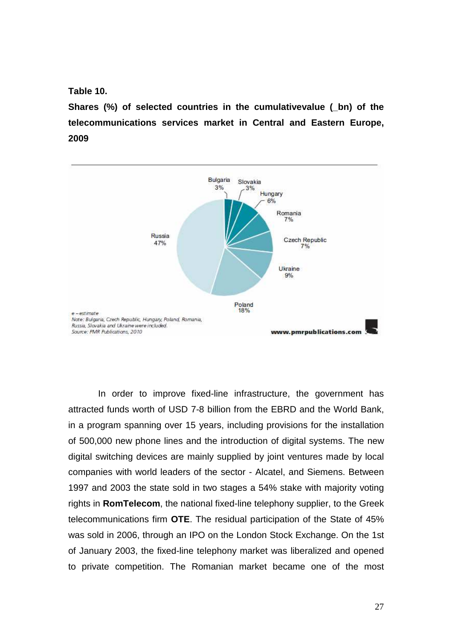**Table 10.** 

**Shares (%) of selected countries in the cumulativevalue (\_bn) of the telecommunications services market in Central and Eastern Europe, 2009** 



In order to improve fixed-line infrastructure, the government has attracted funds worth of USD 7-8 billion from the EBRD and the World Bank, in a program spanning over 15 years, including provisions for the installation of 500,000 new phone lines and the introduction of digital systems. The new digital switching devices are mainly supplied by joint ventures made by local companies with world leaders of the sector - Alcatel, and Siemens. Between 1997 and 2003 the state sold in two stages a 54% stake with majority voting rights in **RomTelecom**, the national fixed-line telephony supplier, to the Greek telecommunications firm **OTE**. The residual participation of the State of 45% was sold in 2006, through an IPO on the London Stock Exchange. On the 1st of January 2003, the fixed-line telephony market was liberalized and opened to private competition. The Romanian market became one of the most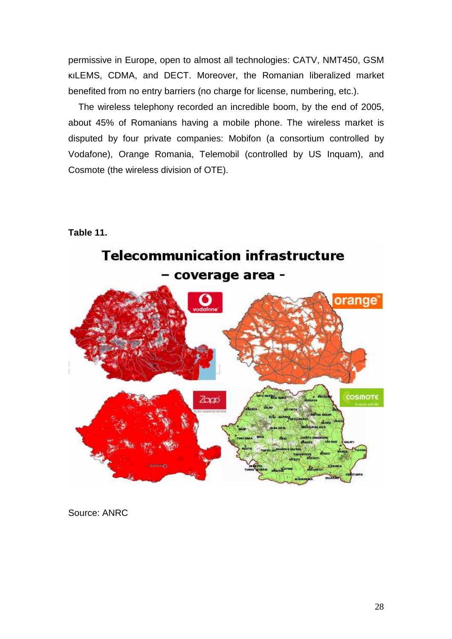permissive in Europe, open to almost all technologies: CATV, NMT450, GSM κιLEMS, CDMA, and DECT. Moreover, the Romanian liberalized market benefited from no entry barriers (no charge for license, numbering, etc.).

 The wireless telephony recorded an incredible boom, by the end of 2005, about 45% of Romanians having a mobile phone. The wireless market is disputed by four private companies: Mobifon (a consortium controlled by Vodafone), Orange Romania, Telemobil (controlled by US Inquam), and Cosmote (the wireless division of OTE).





Source: ANRC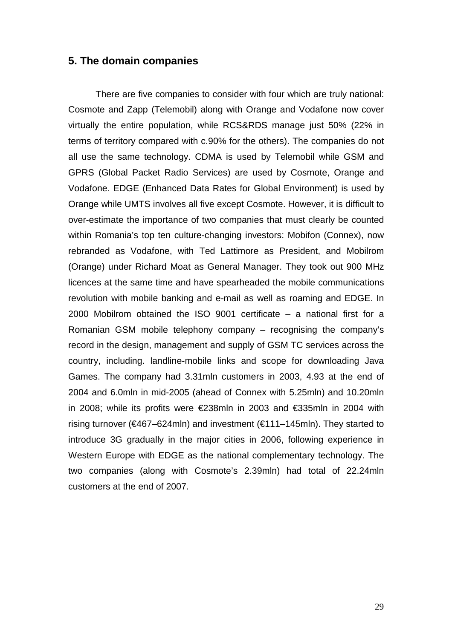## **5. The domain companies**

 There are five companies to consider with four which are truly national: Cosmote and Zapp (Telemobil) along with Orange and Vodafone now cover virtually the entire population, while RCS&RDS manage just 50% (22% in terms of territory compared with c.90% for the others). The companies do not all use the same technology. CDMA is used by Telemobil while GSM and GPRS (Global Packet Radio Services) are used by Cosmote, Orange and Vodafone. EDGE (Enhanced Data Rates for Global Environment) is used by Orange while UMTS involves all five except Cosmote. However, it is difficult to over-estimate the importance of two companies that must clearly be counted within Romania's top ten culture-changing investors: Mobifon (Connex), now rebranded as Vodafone, with Ted Lattimore as President, and Mobilrom (Orange) under Richard Moat as General Manager. They took out 900 MHz licences at the same time and have spearheaded the mobile communications revolution with mobile banking and e-mail as well as roaming and EDGE. In 2000 Mobilrom obtained the ISO 9001 certificate – a national first for a Romanian GSM mobile telephony company – recognising the company's record in the design, management and supply of GSM TC services across the country, including. landline-mobile links and scope for downloading Java Games. The company had 3.31mln customers in 2003, 4.93 at the end of 2004 and 6.0mln in mid-2005 (ahead of Connex with 5.25mln) and 10.20mln in 2008; while its profits were €238mln in 2003 and €335mln in 2004 with rising turnover (€467–624mln) and investment (€111–145mln). They started to introduce 3G gradually in the major cities in 2006, following experience in Western Europe with EDGE as the national complementary technology. The two companies (along with Cosmote's 2.39mln) had total of 22.24mln customers at the end of 2007.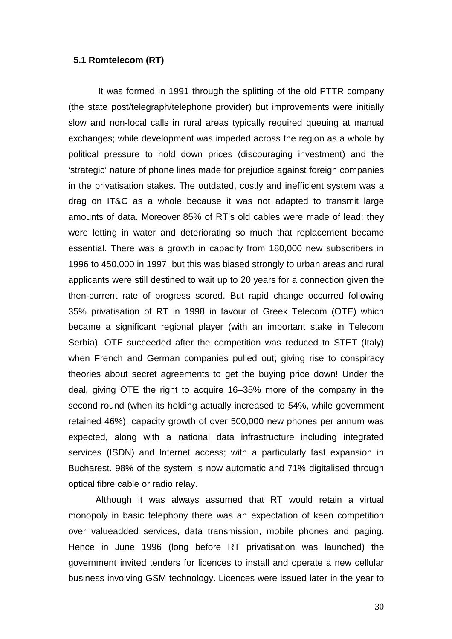#### **5.1 Romtelecom (RT)**

 It was formed in 1991 through the splitting of the old PTTR company (the state post/telegraph/telephone provider) but improvements were initially slow and non-local calls in rural areas typically required queuing at manual exchanges; while development was impeded across the region as a whole by political pressure to hold down prices (discouraging investment) and the 'strategic' nature of phone lines made for prejudice against foreign companies in the privatisation stakes. The outdated, costly and inefficient system was a drag on IT&C as a whole because it was not adapted to transmit large amounts of data. Moreover 85% of RT's old cables were made of lead: they were letting in water and deteriorating so much that replacement became essential. There was a growth in capacity from 180,000 new subscribers in 1996 to 450,000 in 1997, but this was biased strongly to urban areas and rural applicants were still destined to wait up to 20 years for a connection given the then-current rate of progress scored. But rapid change occurred following 35% privatisation of RT in 1998 in favour of Greek Telecom (OTE) which became a significant regional player (with an important stake in Telecom Serbia). OTE succeeded after the competition was reduced to STET (Italy) when French and German companies pulled out; giving rise to conspiracy theories about secret agreements to get the buying price down! Under the deal, giving OTE the right to acquire 16–35% more of the company in the second round (when its holding actually increased to 54%, while government retained 46%), capacity growth of over 500,000 new phones per annum was expected, along with a national data infrastructure including integrated services (ISDN) and Internet access; with a particularly fast expansion in Bucharest. 98% of the system is now automatic and 71% digitalised through optical fibre cable or radio relay.

Although it was always assumed that RT would retain a virtual monopoly in basic telephony there was an expectation of keen competition over valueadded services, data transmission, mobile phones and paging. Hence in June 1996 (long before RT privatisation was launched) the government invited tenders for licences to install and operate a new cellular business involving GSM technology. Licences were issued later in the year to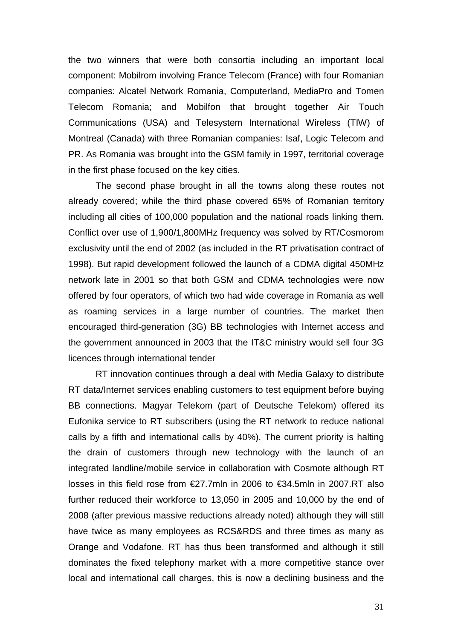the two winners that were both consortia including an important local component: Mobilrom involving France Telecom (France) with four Romanian companies: Alcatel Network Romania, Computerland, MediaPro and Tomen Telecom Romania; and Mobilfon that brought together Air Touch Communications (USA) and Telesystem International Wireless (TIW) of Montreal (Canada) with three Romanian companies: Isaf, Logic Telecom and PR. As Romania was brought into the GSM family in 1997, territorial coverage in the first phase focused on the key cities.

The second phase brought in all the towns along these routes not already covered; while the third phase covered 65% of Romanian territory including all cities of 100,000 population and the national roads linking them. Conflict over use of 1,900/1,800MHz frequency was solved by RT/Cosmorom exclusivity until the end of 2002 (as included in the RT privatisation contract of 1998). But rapid development followed the launch of a CDMA digital 450MHz network late in 2001 so that both GSM and CDMA technologies were now offered by four operators, of which two had wide coverage in Romania as well as roaming services in a large number of countries. The market then encouraged third-generation (3G) BB technologies with Internet access and the government announced in 2003 that the IT&C ministry would sell four 3G licences through international tender

RT innovation continues through a deal with Media Galaxy to distribute RT data/Internet services enabling customers to test equipment before buying BB connections. Magyar Telekom (part of Deutsche Telekom) offered its Eufonika service to RT subscribers (using the RT network to reduce national calls by a fifth and international calls by 40%). The current priority is halting the drain of customers through new technology with the launch of an integrated landline/mobile service in collaboration with Cosmote although RT losses in this field rose from €27.7mln in 2006 to €34.5mln in 2007.RT also further reduced their workforce to 13,050 in 2005 and 10,000 by the end of 2008 (after previous massive reductions already noted) although they will still have twice as many employees as RCS&RDS and three times as many as Orange and Vodafone. RT has thus been transformed and although it still dominates the fixed telephony market with a more competitive stance over local and international call charges, this is now a declining business and the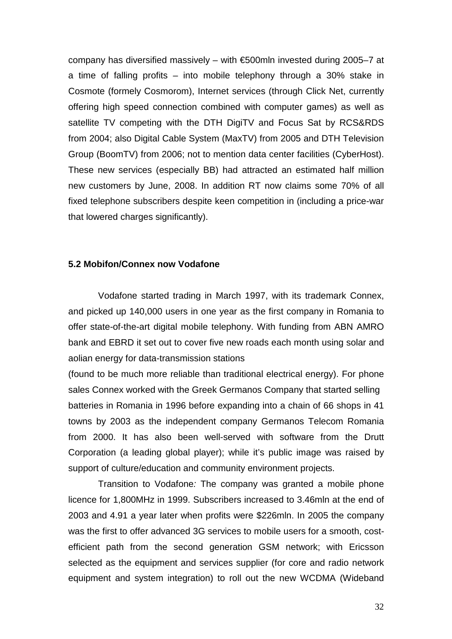company has diversified massively – with €500mln invested during 2005–7 at a time of falling profits – into mobile telephony through a 30% stake in Cosmote (formely Cosmorom), Internet services (through Click Net, currently offering high speed connection combined with computer games) as well as satellite TV competing with the DTH DigiTV and Focus Sat by RCS&RDS from 2004; also Digital Cable System (MaxTV) from 2005 and DTH Television Group (BoomTV) from 2006; not to mention data center facilities (CyberHost). These new services (especially BB) had attracted an estimated half million new customers by June, 2008. In addition RT now claims some 70% of all fixed telephone subscribers despite keen competition in (including a price-war that lowered charges significantly).

### **5.2 Mobifon/Connex now Vodafone**

 Vodafone started trading in March 1997, with its trademark Connex, and picked up 140,000 users in one year as the first company in Romania to offer state-of-the-art digital mobile telephony. With funding from ABN AMRO bank and EBRD it set out to cover five new roads each month using solar and aolian energy for data-transmission stations

(found to be much more reliable than traditional electrical energy). For phone sales Connex worked with the Greek Germanos Company that started selling batteries in Romania in 1996 before expanding into a chain of 66 shops in 41 towns by 2003 as the independent company Germanos Telecom Romania from 2000. It has also been well-served with software from the Drutt Corporation (a leading global player); while it's public image was raised by support of culture/education and community environment projects.

 Transition to Vodafone: The company was granted a mobile phone licence for 1,800MHz in 1999. Subscribers increased to 3.46mln at the end of 2003 and 4.91 a year later when profits were \$226mln. In 2005 the company was the first to offer advanced 3G services to mobile users for a smooth, costefficient path from the second generation GSM network; with Ericsson selected as the equipment and services supplier (for core and radio network equipment and system integration) to roll out the new WCDMA (Wideband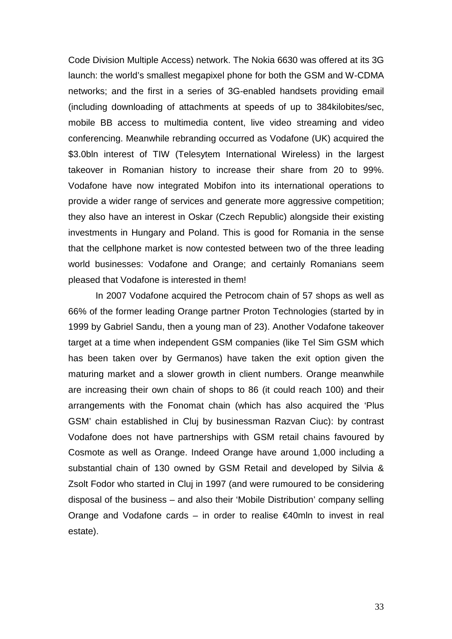Code Division Multiple Access) network. The Nokia 6630 was offered at its 3G launch: the world's smallest megapixel phone for both the GSM and W-CDMA networks; and the first in a series of 3G-enabled handsets providing email (including downloading of attachments at speeds of up to 384kilobites/sec, mobile BB access to multimedia content, live video streaming and video conferencing. Meanwhile rebranding occurred as Vodafone (UK) acquired the \$3.0bln interest of TIW (Telesytem International Wireless) in the largest takeover in Romanian history to increase their share from 20 to 99%. Vodafone have now integrated Mobifon into its international operations to provide a wider range of services and generate more aggressive competition; they also have an interest in Oskar (Czech Republic) alongside their existing investments in Hungary and Poland. This is good for Romania in the sense that the cellphone market is now contested between two of the three leading world businesses: Vodafone and Orange; and certainly Romanians seem pleased that Vodafone is interested in them!

 In 2007 Vodafone acquired the Petrocom chain of 57 shops as well as 66% of the former leading Orange partner Proton Technologies (started by in 1999 by Gabriel Sandu, then a young man of 23). Another Vodafone takeover target at a time when independent GSM companies (like Tel Sim GSM which has been taken over by Germanos) have taken the exit option given the maturing market and a slower growth in client numbers. Orange meanwhile are increasing their own chain of shops to 86 (it could reach 100) and their arrangements with the Fonomat chain (which has also acquired the 'Plus GSM' chain established in Cluj by businessman Razvan Ciuc): by contrast Vodafone does not have partnerships with GSM retail chains favoured by Cosmote as well as Orange. Indeed Orange have around 1,000 including a substantial chain of 130 owned by GSM Retail and developed by Silvia & Zsolt Fodor who started in Cluj in 1997 (and were rumoured to be considering disposal of the business – and also their 'Mobile Distribution' company selling Orange and Vodafone cards – in order to realise  $\epsilon$ 40mln to invest in real estate).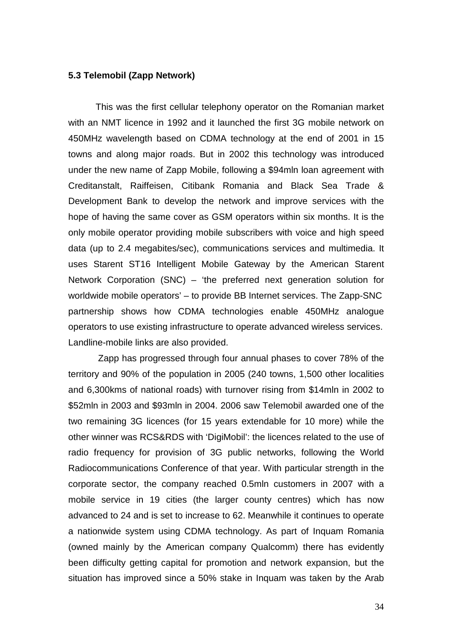### **5.3 Telemobil (Zapp Network)**

This was the first cellular telephony operator on the Romanian market with an NMT licence in 1992 and it launched the first 3G mobile network on 450MHz wavelength based on CDMA technology at the end of 2001 in 15 towns and along major roads. But in 2002 this technology was introduced under the new name of Zapp Mobile, following a \$94mln loan agreement with Creditanstalt, Raiffeisen, Citibank Romania and Black Sea Trade & Development Bank to develop the network and improve services with the hope of having the same cover as GSM operators within six months. It is the only mobile operator providing mobile subscribers with voice and high speed data (up to 2.4 megabites/sec), communications services and multimedia. It uses Starent ST16 Intelligent Mobile Gateway by the American Starent Network Corporation (SNC) – 'the preferred next generation solution for worldwide mobile operators' – to provide BB Internet services. The Zapp-SNC partnership shows how CDMA technologies enable 450MHz analogue operators to use existing infrastructure to operate advanced wireless services. Landline-mobile links are also provided.

 Zapp has progressed through four annual phases to cover 78% of the territory and 90% of the population in 2005 (240 towns, 1,500 other localities and 6,300kms of national roads) with turnover rising from \$14mln in 2002 to \$52mln in 2003 and \$93mln in 2004. 2006 saw Telemobil awarded one of the two remaining 3G licences (for 15 years extendable for 10 more) while the other winner was RCS&RDS with 'DigiMobil': the licences related to the use of radio frequency for provision of 3G public networks, following the World Radiocommunications Conference of that year. With particular strength in the corporate sector, the company reached 0.5mln customers in 2007 with a mobile service in 19 cities (the larger county centres) which has now advanced to 24 and is set to increase to 62. Meanwhile it continues to operate a nationwide system using CDMA technology. As part of Inquam Romania (owned mainly by the American company Qualcomm) there has evidently been difficulty getting capital for promotion and network expansion, but the situation has improved since a 50% stake in Inquam was taken by the Arab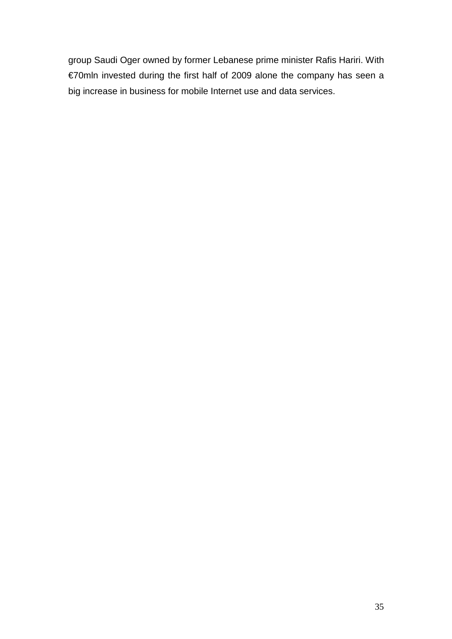group Saudi Oger owned by former Lebanese prime minister Rafis Hariri. With €70mln invested during the first half of 2009 alone the company has seen a big increase in business for mobile Internet use and data services.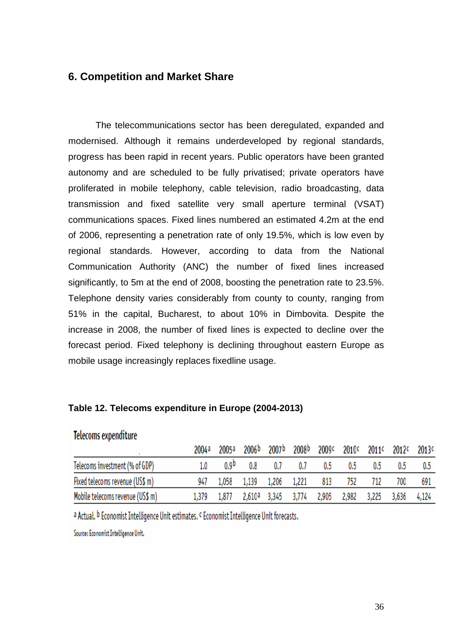# **6. Competition and Market Share**

 The telecommunications sector has been deregulated, expanded and modernised. Although it remains underdeveloped by regional standards, progress has been rapid in recent years. Public operators have been granted autonomy and are scheduled to be fully privatised; private operators have proliferated in mobile telephony, cable television, radio broadcasting, data transmission and fixed satellite very small aperture terminal (VSAT) communications spaces. Fixed lines numbered an estimated 4.2m at the end of 2006, representing a penetration rate of only 19.5%, which is low even by regional standards. However, according to data from the National Communication Authority (ANC) the number of fixed lines increased significantly, to 5m at the end of 2008, boosting the penetration rate to 23.5%. Telephone density varies considerably from county to county, ranging from 51% in the capital, Bucharest, to about 10% in Dimbovita. Despite the increase in 2008, the number of fixed lines is expected to decline over the forecast period. Fixed telephony is declining throughout eastern Europe as mobile usage increasingly replaces fixedline usage.

## **Τable 12. Telecoms expenditure in Europe (2004-2013)**

|                                  | 2004a | 2005a | 2006b | 2007b.                  | 2008b                          |     |         | 2009¢ 2010¢ 2011¢ 2012¢ 2013¢ |             |     |
|----------------------------------|-------|-------|-------|-------------------------|--------------------------------|-----|---------|-------------------------------|-------------|-----|
|                                  |       |       |       |                         |                                |     |         |                               |             |     |
| Telecoms investment (% of GDP)   |       | n ap  | 0.8   | 0.7                     | 0.7                            | 0.5 | 0.5     | 0.5                           | 0.5         | 0.5 |
| Fixed telecoms revenue (US\$ m)  | 947   |       |       | 1,058 1,139 1,206 1,221 |                                |     | 813 752 |                               | 700         | 691 |
| Mobile telecoms revenue (US\$ m) | 1.379 | 1,877 |       |                         | 2,610ª 3,345 3,774 2,905 2,982 |     |         | 3,225                         | 3,636 4,124 |     |

# Telecoms expenditure

a Actual. b Economist Intelligence Unit estimates. c Economist Intelligence Unit forecasts.

Source: Economist Intelligence Unit.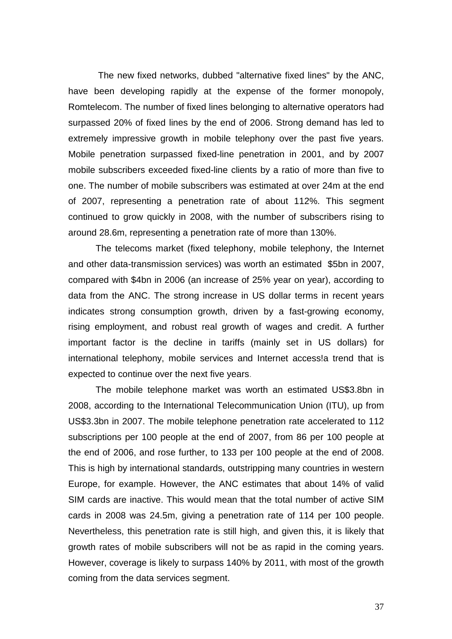The new fixed networks, dubbed "alternative fixed lines" by the ANC, have been developing rapidly at the expense of the former monopoly, Romtelecom. The number of fixed lines belonging to alternative operators had surpassed 20% of fixed lines by the end of 2006. Strong demand has led to extremely impressive growth in mobile telephony over the past five years. Mobile penetration surpassed fixed-line penetration in 2001, and by 2007 mobile subscribers exceeded fixed-line clients by a ratio of more than five to one. The number of mobile subscribers was estimated at over 24m at the end of 2007, representing a penetration rate of about 112%. This segment continued to grow quickly in 2008, with the number of subscribers rising to around 28.6m, representing a penetration rate of more than 130%.

 The telecoms market (fixed telephony, mobile telephony, the Internet and other data-transmission services) was worth an estimated \$5bn in 2007, compared with \$4bn in 2006 (an increase of 25% year on year), according to data from the ANC. The strong increase in US dollar terms in recent years indicates strong consumption growth, driven by a fast-growing economy, rising employment, and robust real growth of wages and credit. A further important factor is the decline in tariffs (mainly set in US dollars) for international telephony, mobile services and Internet access!a trend that is expected to continue over the next five years.

The mobile telephone market was worth an estimated US\$3.8bn in 2008, according to the International Telecommunication Union (ITU), up from US\$3.3bn in 2007. The mobile telephone penetration rate accelerated to 112 subscriptions per 100 people at the end of 2007, from 86 per 100 people at the end of 2006, and rose further, to 133 per 100 people at the end of 2008. This is high by international standards, outstripping many countries in western Europe, for example. However, the ANC estimates that about 14% of valid SIM cards are inactive. This would mean that the total number of active SIM cards in 2008 was 24.5m, giving a penetration rate of 114 per 100 people. Nevertheless, this penetration rate is still high, and given this, it is likely that growth rates of mobile subscribers will not be as rapid in the coming years. However, coverage is likely to surpass 140% by 2011, with most of the growth coming from the data services segment.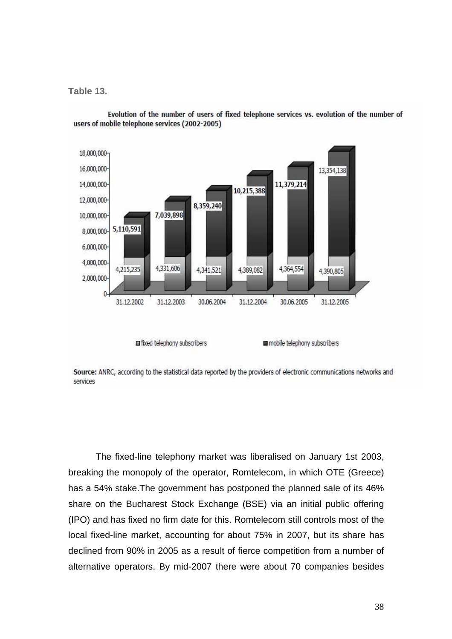**Table 13.** 



Evolution of the number of users of fixed telephone services vs. evolution of the number of users of mobile telephone services (2002-2005)

fixed telephony subscribers

mobile telephony subscribers

Source: ANRC, according to the statistical data reported by the providers of electronic communications networks and services

The fixed-line telephony market was liberalised on January 1st 2003, breaking the monopoly of the operator, Romtelecom, in which OTE (Greece) has a 54% stake.The government has postponed the planned sale of its 46% share on the Bucharest Stock Exchange (BSE) via an initial public offering (IPO) and has fixed no firm date for this. Romtelecom still controls most of the local fixed-line market, accounting for about 75% in 2007, but its share has declined from 90% in 2005 as a result of fierce competition from a number of alternative operators. By mid-2007 there were about 70 companies besides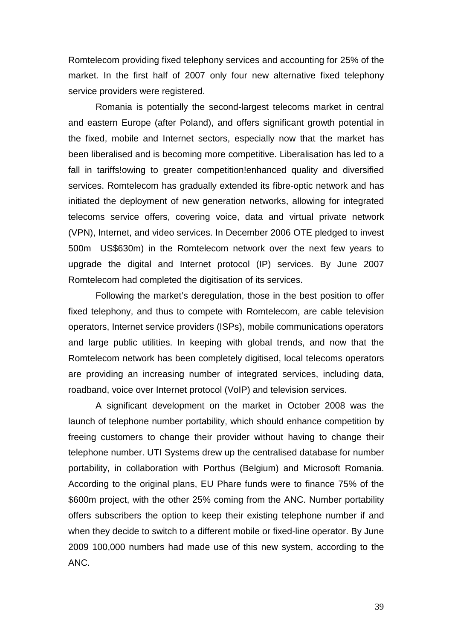Romtelecom providing fixed telephony services and accounting for 25% of the market. In the first half of 2007 only four new alternative fixed telephony service providers were registered.

Romania is potentially the second-largest telecoms market in central and eastern Europe (after Poland), and offers significant growth potential in the fixed, mobile and Internet sectors, especially now that the market has been liberalised and is becoming more competitive. Liberalisation has led to a fall in tariffs!owing to greater competition!enhanced quality and diversified services. Romtelecom has gradually extended its fibre-optic network and has initiated the deployment of new generation networks, allowing for integrated telecoms service offers, covering voice, data and virtual private network (VPN), Internet, and video services. In December 2006 OTE pledged to invest 500m US\$630m) in the Romtelecom network over the next few years to upgrade the digital and Internet protocol (IP) services. By June 2007 Romtelecom had completed the digitisation of its services.

Following the market's deregulation, those in the best position to offer fixed telephony, and thus to compete with Romtelecom, are cable television operators, Internet service providers (ISPs), mobile communications operators and large public utilities. In keeping with global trends, and now that the Romtelecom network has been completely digitised, local telecoms operators are providing an increasing number of integrated services, including data, roadband, voice over Internet protocol (VoIP) and television services.

A significant development on the market in October 2008 was the launch of telephone number portability, which should enhance competition by freeing customers to change their provider without having to change their telephone number. UTI Systems drew up the centralised database for number portability, in collaboration with Porthus (Belgium) and Microsoft Romania. According to the original plans, EU Phare funds were to finance 75% of the \$600m project, with the other 25% coming from the ANC. Number portability offers subscribers the option to keep their existing telephone number if and when they decide to switch to a different mobile or fixed-line operator. By June 2009 100,000 numbers had made use of this new system, according to the ANC.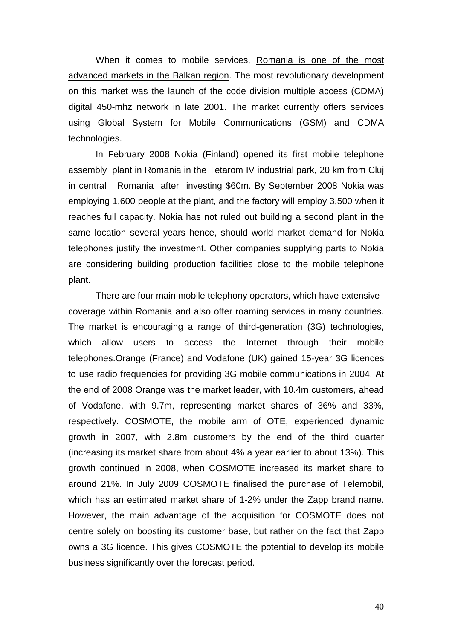When it comes to mobile services, Romania is one of the most advanced markets in the Balkan region. The most revolutionary development on this market was the launch of the code division multiple access (CDMA) digital 450-mhz network in late 2001. The market currently offers services using Global System for Mobile Communications (GSM) and CDMA technologies.

In February 2008 Nokia (Finland) opened its first mobile telephone assembly plant in Romania in the Tetarom IV industrial park, 20 km from Cluj in central Romania after investing \$60m. By September 2008 Nokia was employing 1,600 people at the plant, and the factory will employ 3,500 when it reaches full capacity. Nokia has not ruled out building a second plant in the same location several years hence, should world market demand for Nokia telephones justify the investment. Other companies supplying parts to Nokia are considering building production facilities close to the mobile telephone plant.

There are four main mobile telephony operators, which have extensive coverage within Romania and also offer roaming services in many countries. The market is encouraging a range of third-generation (3G) technologies, which allow users to access the Internet through their mobile telephones.Orange (France) and Vodafone (UK) gained 15-year 3G licences to use radio frequencies for providing 3G mobile communications in 2004. At the end of 2008 Orange was the market leader, with 10.4m customers, ahead of Vodafone, with 9.7m, representing market shares of 36% and 33%, respectively. COSMOTE, the mobile arm of OTE, experienced dynamic growth in 2007, with 2.8m customers by the end of the third quarter (increasing its market share from about 4% a year earlier to about 13%). This growth continued in 2008, when COSMOTE increased its market share to around 21%. In July 2009 COSMOTE finalised the purchase of Telemobil, which has an estimated market share of 1-2% under the Zapp brand name. However, the main advantage of the acquisition for COSMOTE does not centre solely on boosting its customer base, but rather on the fact that Zapp owns a 3G licence. This gives COSMOTE the potential to develop its mobile business significantly over the forecast period.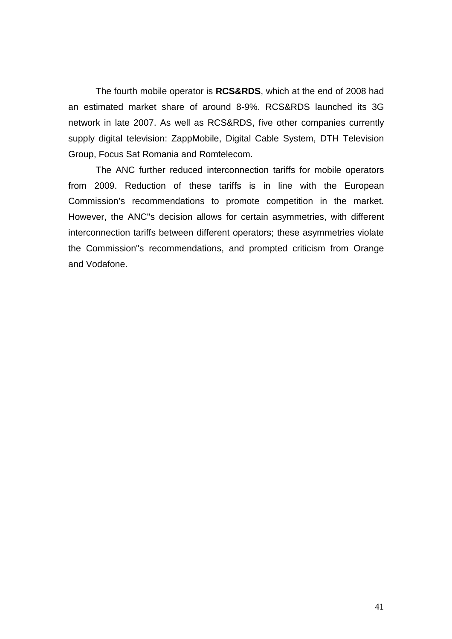The fourth mobile operator is **RCS&RDS**, which at the end of 2008 had an estimated market share of around 8-9%. RCS&RDS launched its 3G network in late 2007. As well as RCS&RDS, five other companies currently supply digital television: ZappMobile, Digital Cable System, DTH Television Group, Focus Sat Romania and Romtelecom.

The ANC further reduced interconnection tariffs for mobile operators from 2009. Reduction of these tariffs is in line with the European Commission's recommendations to promote competition in the market. However, the ANC"s decision allows for certain asymmetries, with different interconnection tariffs between different operators; these asymmetries violate the Commission"s recommendations, and prompted criticism from Orange and Vodafone.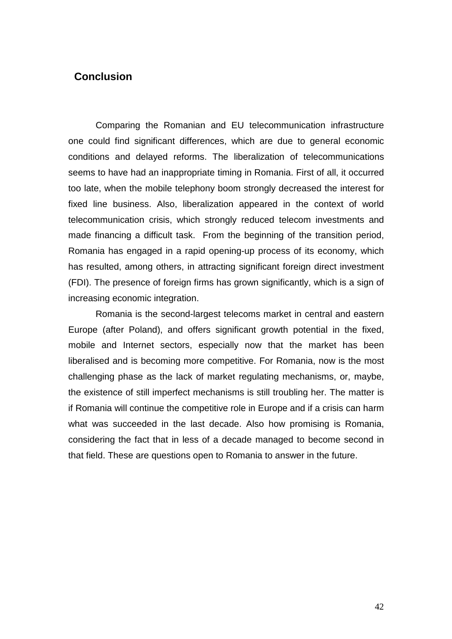# **Conclusion**

Comparing the Romanian and EU telecommunication infrastructure one could find significant differences, which are due to general economic conditions and delayed reforms. The liberalization of telecommunications seems to have had an inappropriate timing in Romania. First of all, it occurred too late, when the mobile telephony boom strongly decreased the interest for fixed line business. Also, liberalization appeared in the context of world telecommunication crisis, which strongly reduced telecom investments and made financing a difficult task. From the beginning of the transition period, Romania has engaged in a rapid opening-up process of its economy, which has resulted, among others, in attracting significant foreign direct investment (FDI). The presence of foreign firms has grown significantly, which is a sign of increasing economic integration.

Romania is the second-largest telecoms market in central and eastern Europe (after Poland), and offers significant growth potential in the fixed, mobile and Internet sectors, especially now that the market has been liberalised and is becoming more competitive. For Romania, now is the most challenging phase as the lack of market regulating mechanisms, or, maybe, the existence of still imperfect mechanisms is still troubling her. The matter is if Romania will continue the competitive role in Europe and if a crisis can harm what was succeeded in the last decade. Also how promising is Romania, considering the fact that in less of a decade managed to become second in that field. These are questions open to Romania to answer in the future.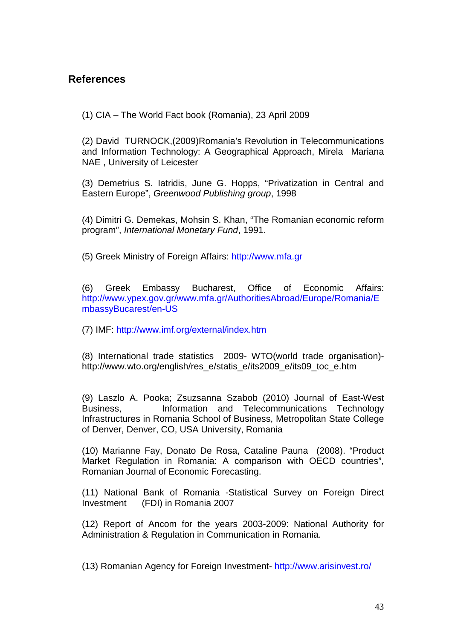# **References**

(1) CIA – The World Fact book (Romania), 23 April 2009

(2) David TURNOCK,(2009)Romania's Revolution in Telecommunications and Information Technology: A Geographical Approach, Mirela Mariana NAE , University of Leicester

(3) Demetrius S. Iatridis, June G. Hopps, "Privatization in Central and Eastern Europe", Greenwood Publishing group, 1998

(4) Dimitri G. Demekas, Mohsin S. Khan, "The Romanian economic reform program", International Monetary Fund, 1991.

(5) Greek Ministry of Foreign Affairs: http://www.mfa.gr

(6) Greek Embassy Bucharest, Office of Economic Affairs: http://www.ypex.gov.gr/www.mfa.gr/AuthoritiesAbroad/Europe/Romania/E mbassyBucarest/en-US

(7) IMF: http://www.imf.org/external/index.htm

(8) International trade statistics 2009- WTO(world trade organisation) http://www.wto.org/english/res\_e/statis\_e/its2009\_e/its09\_toc\_e.htm

(9) Laszlo A. Pooka; Zsuzsanna Szabob (2010) Journal of East-West Business, Information and Telecommunications Technology Infrastructures in Romania School of Business, Metropolitan State College of Denver, Denver, CO, USA University, Romania

(10) Marianne Fay, Donato De Rosa, Cataline Pauna (2008). "Product Market Regulation in Romania: A comparison with OECD countries", Romanian Journal of Economic Forecasting.

(11) National Bank of Romania -Statistical Survey on Foreign Direct Investment (FDI) in Romania 2007

(12) Report of Ancom for the years 2003-2009: National Authority for Administration & Regulation in Communication in Romania.

(13) Romanian Agency for Foreign Investment- http://www.arisinvest.ro/